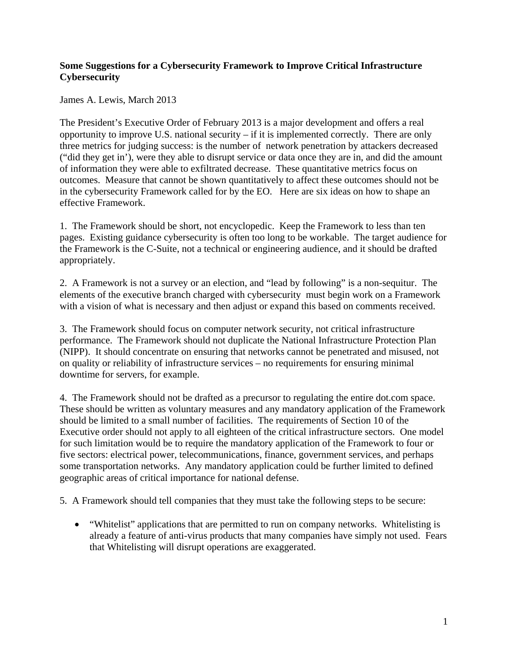## **Some Suggestions for a Cybersecurity Framework to Improve Critical Infrastructure Cybersecurity**

James A. Lewis, March 2013

The President's Executive Order of February 2013 is a major development and offers a real opportunity to improve U.S. national security – if it is implemented correctly. There are only three metrics for judging success: is the number of network penetration by attackers decreased ("did they get in'), were they able to disrupt service or data once they are in, and did the amount of information they were able to exfiltrated decrease. These quantitative metrics focus on outcomes. Measure that cannot be shown quantitatively to affect these outcomes should not be in the cybersecurity Framework called for by the EO. Here are six ideas on how to shape an effective Framework.

1. The Framework should be short, not encyclopedic. Keep the Framework to less than ten pages. Existing guidance cybersecurity is often too long to be workable. The target audience for the Framework is the C-Suite, not a technical or engineering audience, and it should be drafted appropriately.

2. A Framework is not a survey or an election, and "lead by following" is a non-sequitur. The elements of the executive branch charged with cybersecurity must begin work on a Framework with a vision of what is necessary and then adjust or expand this based on comments received.

3. The Framework should focus on computer network security, not critical infrastructure performance. The Framework should not duplicate the National Infrastructure Protection Plan (NIPP). It should concentrate on ensuring that networks cannot be penetrated and misused, not on quality or reliability of infrastructure services – no requirements for ensuring minimal downtime for servers, for example.

4. The Framework should not be drafted as a precursor to regulating the entire dot.com space. These should be written as voluntary measures and any mandatory application of the Framework should be limited to a small number of facilities. The requirements of Section 10 of the Executive order should not apply to all eighteen of the critical infrastructure sectors. One model for such limitation would be to require the mandatory application of the Framework to four or five sectors: electrical power, telecommunications, finance, government services, and perhaps some transportation networks. Any mandatory application could be further limited to defined geographic areas of critical importance for national defense.

5. A Framework should tell companies that they must take the following steps to be secure:

• "Whitelist" applications that are permitted to run on company networks. Whitelisting is already a feature of anti-virus products that many companies have simply not used. Fears that Whitelisting will disrupt operations are exaggerated.